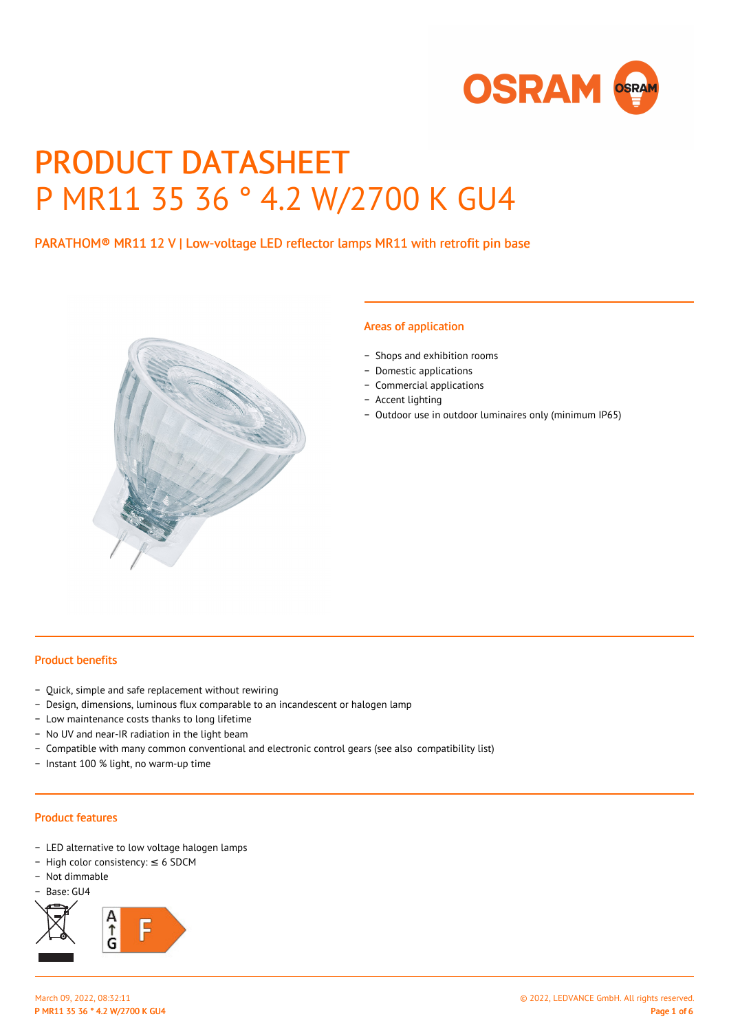

# PRODUCT DATASHEET P MR11 35 36 ° 4.2 W/2700 K GU4

# PARATHOM® MR11 12 V | Low-voltage LED reflector lamps MR11 with retrofit pin base



#### Areas of application

- − Shops and exhibition rooms
- − Domestic applications
- − Commercial applications
- − Accent lighting
- − Outdoor use in outdoor luminaires only (minimum IP65)

## Product benefits

- − Quick, simple and safe replacement without rewiring
- − Design, dimensions, luminous flux comparable to an incandescent or halogen lamp
- − Low maintenance costs thanks to long lifetime
- − No UV and near-IR radiation in the light beam
- − Compatible with many common conventional and electronic control gears (see also compatibility list)
- − Instant 100 % light, no warm-up time

### Product features

- − LED alternative to low voltage halogen lamps
- − High color consistency: ≤ 6 SDCM
- − Not dimmable
- − Base: GU4

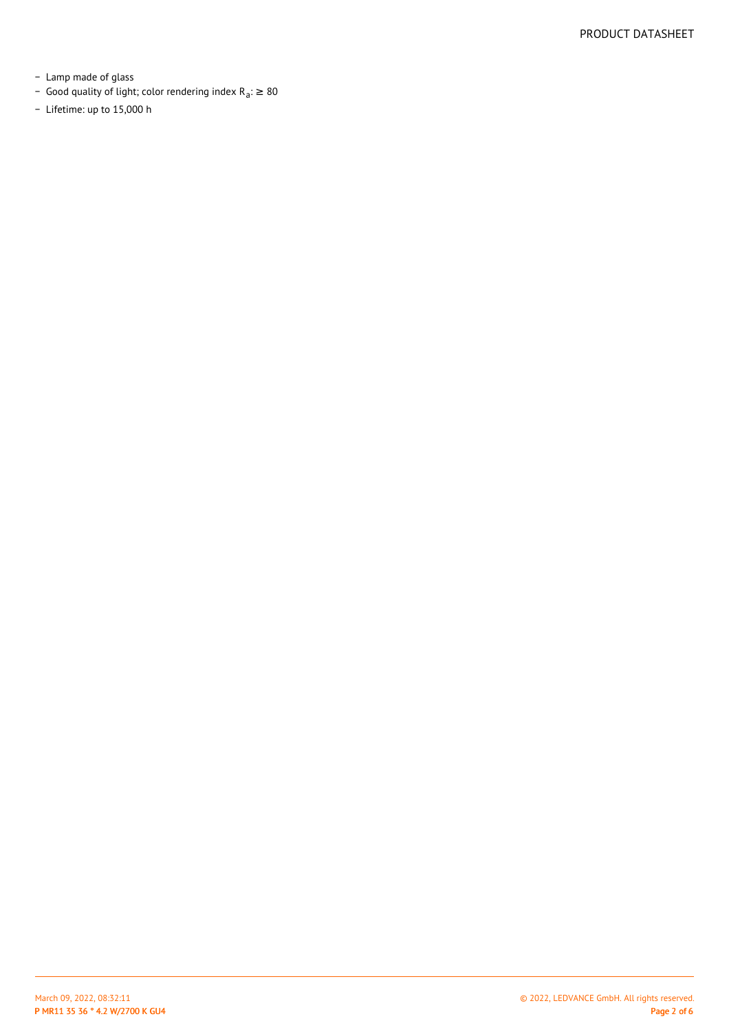- − Lamp made of glass
- Good quality of light; color rendering index R<sub>a</sub>: ≥ 80
- − Lifetime: up to 15,000 h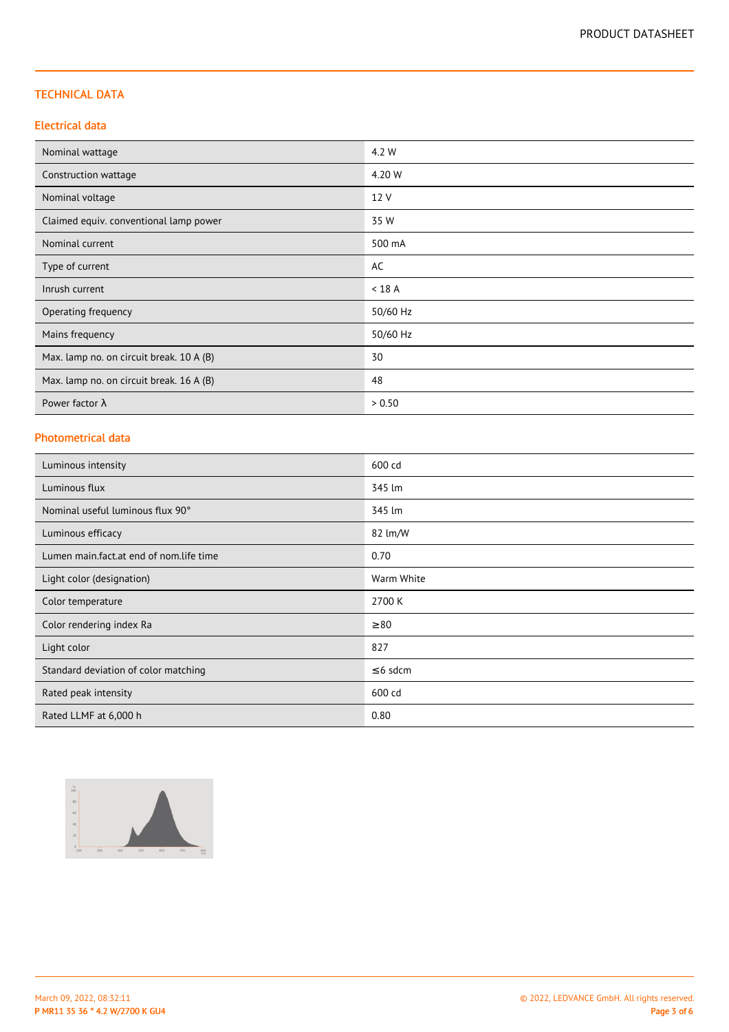# TECHNICAL DATA

## Electrical data

| Nominal wattage                          | 4.2 W    |
|------------------------------------------|----------|
| Construction wattage                     | 4.20 W   |
| Nominal voltage                          | 12 V     |
| Claimed equiv. conventional lamp power   | 35 W     |
| Nominal current                          | 500 mA   |
| Type of current                          | AC       |
| Inrush current                           | $<$ 18 A |
| Operating frequency                      | 50/60 Hz |
| Mains frequency                          | 50/60 Hz |
| Max. lamp no. on circuit break. 10 A (B) | 30       |
| Max. lamp no. on circuit break. 16 A (B) | 48       |
| Power factor $\lambda$                   | > 0.50   |

## Photometrical data

| Luminous intensity                      | 600 cd        |
|-----------------------------------------|---------------|
| Luminous flux                           | 345 lm        |
| Nominal useful luminous flux 90°        | 345 lm        |
| Luminous efficacy                       | 82 lm/W       |
| Lumen main.fact.at end of nom.life time | 0.70          |
| Light color (designation)               | Warm White    |
| Color temperature                       | 2700 K        |
| Color rendering index Ra                | $\geq 80$     |
| Light color                             | 827           |
| Standard deviation of color matching    | $\leq$ 6 sdcm |
| Rated peak intensity                    | 600 cd        |
| Rated LLMF at 6,000 h                   | 0.80          |

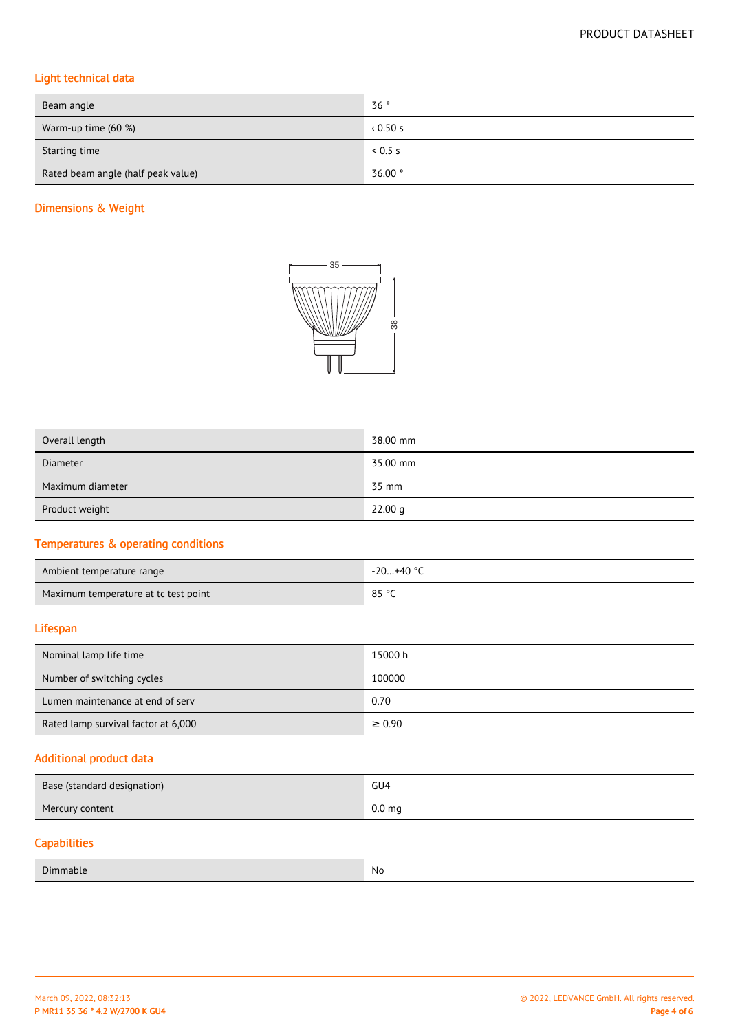# Light technical data

| Beam angle                         | 36°                |
|------------------------------------|--------------------|
| Warm-up time (60 %)                | 0.50 s             |
| Starting time                      | 0.5 s              |
| Rated beam angle (half peak value) | $36.00$ $^{\circ}$ |

# Dimensions & Weight



| Overall length   | 38.00 mm |
|------------------|----------|
| <b>Diameter</b>  | 35.00 mm |
| Maximum diameter | 35 mm    |
| Product weight   | 22.00 g  |

# Temperatures & operating conditions

| Ambient temperature range            | $-20+40$ °C |
|--------------------------------------|-------------|
| Maximum temperature at tc test point | 85 °C       |

# Lifespan

| Nominal lamp life time              | 15000 h     |
|-------------------------------------|-------------|
| Number of switching cycles          | 100000      |
| Lumen maintenance at end of serv    | 0.70        |
| Rated lamp survival factor at 6,000 | $\geq 0.90$ |

# Additional product data

| Base (standard designation) | GU4               |
|-----------------------------|-------------------|
| Mercury content             | 0.0 <sub>mg</sub> |
| <b>Capabilities</b>         |                   |

| $\sim$<br>Jır<br>וו<br>nanie<br>_______ | No. |
|-----------------------------------------|-----|
|                                         |     |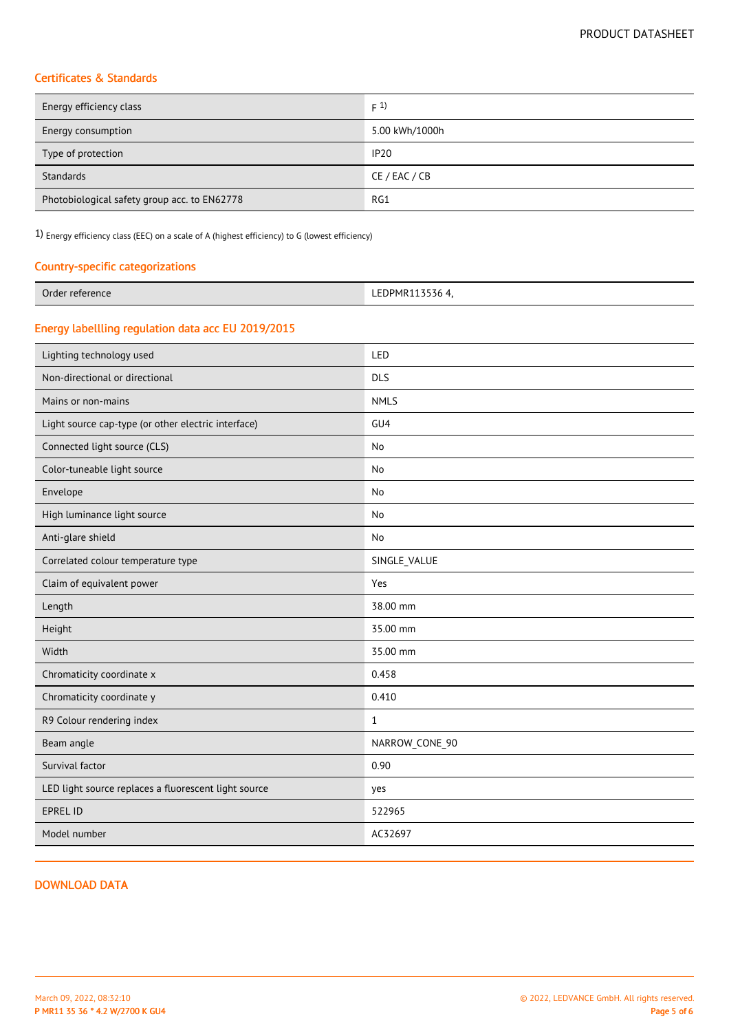# Certificates & Standards

| Energy efficiency class                      | F(1)           |
|----------------------------------------------|----------------|
| Energy consumption                           | 5.00 kWh/1000h |
| Type of protection                           | <b>IP20</b>    |
| Standards                                    | CE / EAC / CB  |
| Photobiological safety group acc. to EN62778 | RG1            |

1) Energy efficiency class (EEC) on a scale of A (highest efficiency) to G (lowest efficiency)

## Country-specific categorizations

| Order reference | FDPMR113536 4. |
|-----------------|----------------|

## Energy labellling regulation data acc EU 2019/2015

| Lighting technology used                             | LED             |
|------------------------------------------------------|-----------------|
| Non-directional or directional                       | <b>DLS</b>      |
| Mains or non-mains                                   | <b>NMLS</b>     |
| Light source cap-type (or other electric interface)  | GU <sub>4</sub> |
| Connected light source (CLS)                         | No              |
| Color-tuneable light source                          | No              |
| Envelope                                             | <b>No</b>       |
| High luminance light source                          | <b>No</b>       |
| Anti-glare shield                                    | No              |
| Correlated colour temperature type                   | SINGLE_VALUE    |
| Claim of equivalent power                            | Yes             |
| Length                                               | 38.00 mm        |
| Height                                               | 35.00 mm        |
| Width                                                | 35.00 mm        |
| Chromaticity coordinate x                            | 0.458           |
| Chromaticity coordinate y                            | 0.410           |
| R9 Colour rendering index                            | $\mathbf{1}$    |
| Beam angle                                           | NARROW_CONE_90  |
| Survival factor                                      | 0.90            |
| LED light source replaces a fluorescent light source | yes             |
| <b>EPREL ID</b>                                      | 522965          |
| Model number                                         | AC32697         |
|                                                      |                 |

### DOWNLOAD DATA